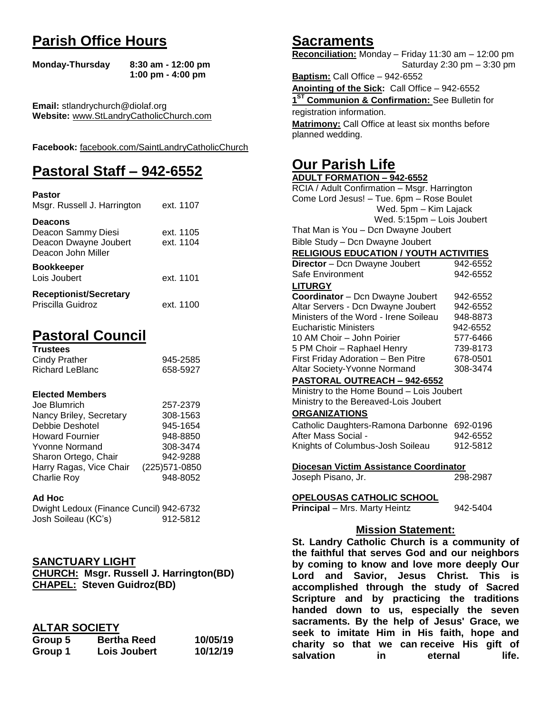# **Parish Office Hours**

```
Monday-Thursday 8:30 am - 12:00 pm
       1:00 pm - 4:00 pm
```
**Email:** stlandrychurch@diolaf.org **Website:** [www.StLandryCatholicChurch.com](http://www.stlandrycatholicchurch.com/)

**Facebook:** [facebook.com/SaintLandryCatholicChurch](http://facebook.com/SaintLandryCatholicChurch)

# **Pastoral Staff – 942-6552**

| <b>Pastor</b><br>Msgr. Russell J. Harrington                                        | ext. 1107              |
|-------------------------------------------------------------------------------------|------------------------|
| <b>Deacons</b><br>Deacon Sammy Diesi<br>Deacon Dwayne Joubert<br>Deacon John Miller | ext. 1105<br>ext. 1104 |
| <b>Bookkeeper</b><br>Lois Joubert                                                   | ext. 1101              |
| <b>Receptionist/Secretary</b><br>Priscilla Guidroz                                  | ext. 1100              |

# **Pastoral Council**

| <b>Trustees</b> |          |
|-----------------|----------|
| Cindy Prather   | 945-2585 |
| Richard LeBlanc | 658-5927 |

### **Elected Members**

| Joe Blumrich            | 257-2379       |
|-------------------------|----------------|
| Nancy Briley, Secretary | 308-1563       |
| Debbie Deshotel         | 945-1654       |
| <b>Howard Fournier</b>  | 948-8850       |
| <b>Yvonne Normand</b>   | 308-3474       |
| Sharon Ortego, Chair    | 942-9288       |
| Harry Ragas, Vice Chair | (225) 571-0850 |
| <b>Charlie Roy</b>      | 948-8052       |

### **Ad Hoc**

| Dwight Ledoux (Finance Cuncil) 942-6732 |          |
|-----------------------------------------|----------|
| Josh Soileau (KC's)                     | 912-5812 |

### **SANCTUARY LIGHT**

**CHURCH: Msgr. Russell J. Harrington(BD) CHAPEL: Steven Guidroz(BD)**

### **ALTAR SOCIETY**

| Group 5 | <b>Bertha Reed</b> | 10/05/19 |
|---------|--------------------|----------|
| Group 1 | Lois Joubert       | 10/12/19 |

# **Sacraments**

**Reconciliation:** Monday – Friday 11:30 am – 12:00 pm Saturday 2:30 pm – 3:30 pm

**Baptism:** Call Office – 942-6552 **Anointing of the Sick:** Call Office – 942-6552 **1 ST Communion & Confirmation:** See Bulletin for registration information. **Matrimony:** Call Office at least six months before planned wedding.

# **Our Parish Life**

| <b>ADULT FORMATION - 942-6552</b>              |          |
|------------------------------------------------|----------|
| RCIA / Adult Confirmation - Msgr. Harrington   |          |
| Come Lord Jesus! - Tue. 6pm - Rose Boulet      |          |
| Wed. 5pm - Kim Lajack                          |          |
| Wed. 5:15pm - Lois Joubert                     |          |
| That Man is You - Dcn Dwayne Joubert           |          |
| Bible Study - Dcn Dwayne Joubert               |          |
| <b>RELIGIOUS EDUCATION / YOUTH ACTIVITIES</b>  |          |
| Director - Dcn Dwayne Joubert                  | 942-6552 |
| Safe Environment                               | 942-6552 |
| <b>LITURGY</b>                                 |          |
| Coordinator - Dcn Dwayne Joubert               | 942-6552 |
| Altar Servers - Dcn Dwayne Joubert             | 942-6552 |
| Ministers of the Word - Irene Soileau          | 948-8873 |
| <b>Eucharistic Ministers</b>                   | 942-6552 |
| 10 AM Choir - John Poirier                     | 577-6466 |
| 5 PM Choir - Raphael Henry                     | 739-8173 |
| First Friday Adoration - Ben Pitre             | 678-0501 |
| Altar Society-Yvonne Normand                   | 308-3474 |
| PASTORAL OUTREACH - 942-6552                   |          |
| Ministry to the Home Bound - Lois Joubert      |          |
| Ministry to the Bereaved-Lois Joubert          |          |
| <b>ORGANIZATIONS</b>                           |          |
| Catholic Daughters-Ramona Darbonne 692-0196    |          |
| After Mass Social -                            | 942-6552 |
| Knights of Columbus-Josh Soileau               | 912-5812 |
|                                                |          |
| Diocesan Victim Assistance Coordinator         |          |
| Joseph Pisano, Jr.                             | 298-2987 |
|                                                |          |
| <u>OPELOUSAS CATHOLIC SCHOOL</u>               |          |
| Principal - Mrs. Marty Heintz                  | 942-5404 |
|                                                |          |
| <b>Mission Statement:</b>                      |          |
| St. Landry Catholic Church is a community of   |          |
| the faithful that serves God and our neighbors |          |
| by coming to know and love more deeply Our     |          |
| Lord and Savior, Jesus Christ. This            | is.      |
| accomplished through the study of Sacred       |          |
| Scrinture and hy practicing the traditions     |          |

**accomplished through the study of Sacred Scripture and by practicing the traditions handed down to us, especially the seven sacraments. By the help of Jesus' Grace, we seek to imitate Him in His faith, hope and charity so that we can receive His gift of salvation** in eternal life.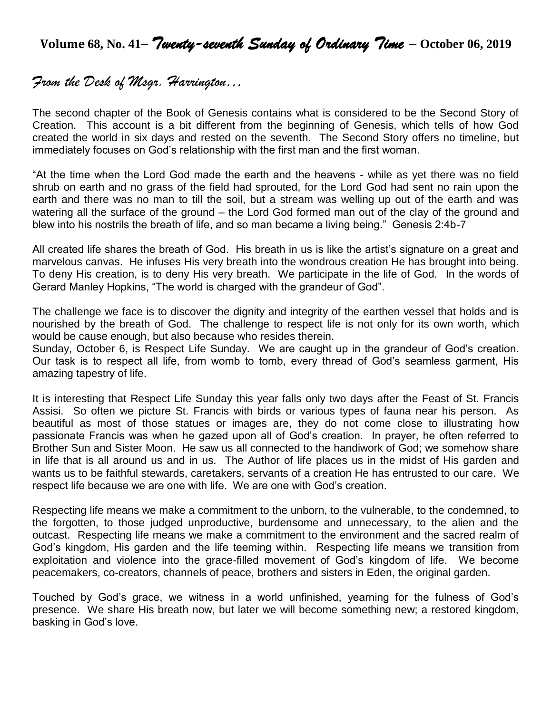**Volume 68, No. 41–** *Twenty-seventh Sunday of Ordinary Time* **– October 06, <sup>2019</sup>**

# *From the Desk of Msgr. Harrington…*

The second chapter of the Book of Genesis contains what is considered to be the Second Story of Creation. This account is a bit different from the beginning of Genesis, which tells of how God created the world in six days and rested on the seventh. The Second Story offers no timeline, but immediately focuses on God's relationship with the first man and the first woman.

"At the time when the Lord God made the earth and the heavens - while as yet there was no field shrub on earth and no grass of the field had sprouted, for the Lord God had sent no rain upon the earth and there was no man to till the soil, but a stream was welling up out of the earth and was watering all the surface of the ground – the Lord God formed man out of the clay of the ground and blew into his nostrils the breath of life, and so man became a living being." Genesis 2:4b-7

All created life shares the breath of God. His breath in us is like the artist's signature on a great and marvelous canvas. He infuses His very breath into the wondrous creation He has brought into being. To deny His creation, is to deny His very breath. We participate in the life of God. In the words of Gerard Manley Hopkins, "The world is charged with the grandeur of God".

The challenge we face is to discover the dignity and integrity of the earthen vessel that holds and is nourished by the breath of God. The challenge to respect life is not only for its own worth, which would be cause enough, but also because who resides therein.

Sunday, October 6, is Respect Life Sunday. We are caught up in the grandeur of God's creation. Our task is to respect all life, from womb to tomb, every thread of God's seamless garment, His amazing tapestry of life.

It is interesting that Respect Life Sunday this year falls only two days after the Feast of St. Francis Assisi. So often we picture St. Francis with birds or various types of fauna near his person. As beautiful as most of those statues or images are, they do not come close to illustrating how passionate Francis was when he gazed upon all of God's creation. In prayer, he often referred to Brother Sun and Sister Moon. He saw us all connected to the handiwork of God; we somehow share in life that is all around us and in us. The Author of life places us in the midst of His garden and wants us to be faithful stewards, caretakers, servants of a creation He has entrusted to our care. We respect life because we are one with life. We are one with God's creation.

Respecting life means we make a commitment to the unborn, to the vulnerable, to the condemned, to the forgotten, to those judged unproductive, burdensome and unnecessary, to the alien and the outcast. Respecting life means we make a commitment to the environment and the sacred realm of God's kingdom, His garden and the life teeming within. Respecting life means we transition from exploitation and violence into the grace-filled movement of God's kingdom of life. We become peacemakers, co-creators, channels of peace, brothers and sisters in Eden, the original garden.

Touched by God's grace, we witness in a world unfinished, yearning for the fulness of God's presence. We share His breath now, but later we will become something new; a restored kingdom, basking in God's love.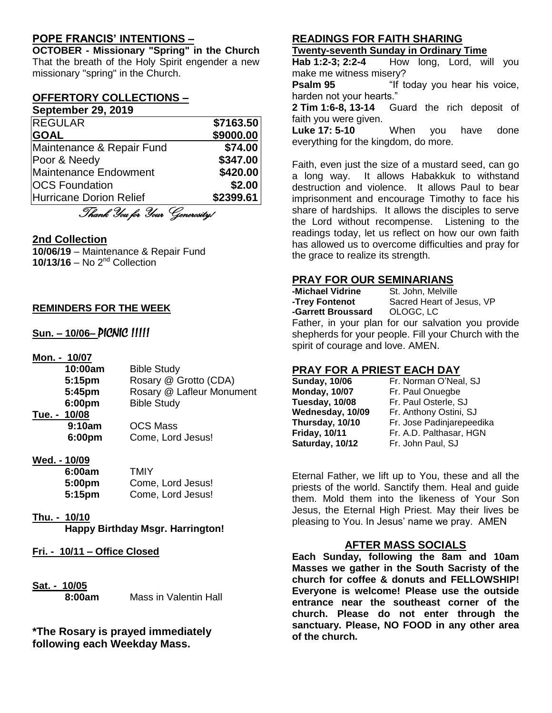## **POPE FRANCIS' INTENTIONS –**

**OCTOBER - Missionary "Spring" in the Church** That the breath of the Holy Spirit engender a new missionary "spring" in the Church.

#### **OFFERTORY COLLECTIONS – September 29, 2019**

| <b>OCNICITINGL LUIS</b>   |           |
|---------------------------|-----------|
| <b>REGULAR</b>            | \$7163.50 |
| <b>GOAL</b>               | \$9000.00 |
| Maintenance & Repair Fund | \$74.00   |
| Poor & Needy              | \$347.00  |
| Maintenance Endowment     | \$420.00  |
| <b>OCS Foundation</b>     | \$2.00    |
| Hurricane Dorion Relief   | \$2399.61 |

Thank You for Your Generosity!

### **2nd Collection**

**10/06/19** – Maintenance & Repair Fund 10/13/16 – No 2<sup>nd</sup> Collection

### **REMINDERS FOR THE WEEK**

## **Sun. – 10/06–** PICNIC !!!!!

| Mon. - 10/07 |                           |
|--------------|---------------------------|
| 10:00am      | <b>Bible Study</b>        |
| 5:15pm       | Rosary @ Grotto (CDA)     |
| 5:45pm       | Rosary @ Lafleur Monument |
| 6:00pm       | <b>Bible Study</b>        |
| Tue. - 10/08 |                           |
| 9:10am       | OCS Mass                  |
| 6:00pm       | Come, Lord Jesus!         |
|              |                           |

### **Wed. - 10/09**

| 6:00am | <b>TMIY</b>       |
|--------|-------------------|
| 5:00pm | Come, Lord Jesus! |
| 5:15pm | Come, Lord Jesus! |

### **Thu. - 10/10**

**Happy Birthday Msgr. Harrington!**

- **Fri. - 10/11 – Office Closed**
- **Sat. - 10/05**

**8:00am** Mass in Valentin Hall

**\*The Rosary is prayed immediately following each Weekday Mass.**

### **READINGS FOR FAITH SHARING**

**Twenty-seventh Sunday in Ordinary Time**

**Hab 1:2-3; 2:2-4** How long, Lord, will you make me witness misery?

**Psalm 95** "If today you hear his voice, harden not your hearts."

**2 Tim 1:6-8, 13-14** Guard the rich deposit of faith you were given.

**Luke 17: 5-10** When you have done everything for the kingdom, do more.

Faith, even just the size of a mustard seed, can go a long way. It allows Habakkuk to withstand destruction and violence. It allows Paul to bear imprisonment and encourage Timothy to face his share of hardships. It allows the disciples to serve the Lord without recompense. Listening to the readings today, let us reflect on how our own faith has allowed us to overcome difficulties and pray for the grace to realize its strength.

### **PRAY FOR OUR SEMINARIANS**

| -Michael Vidrine   | St. John, Melville                             |
|--------------------|------------------------------------------------|
| -Trey Fontenot     | Sacred Heart of Jesus, VP                      |
| -Garrett Broussard | OLOGC, LC                                      |
|                    | Eather in vaux plan for our coluction vau prov |

Father, in your plan for our salvation you provide shepherds for your people. Fill your Church with the spirit of courage and love. AMEN.

### **PRAY FOR A PRIEST EACH DAY**

| <b>Sunday, 10/06</b> |
|----------------------|
| <b>Monday, 10/07</b> |
| Tuesday, 10/08       |
| Wednesday, 10/09     |
| Thursday, 10/10      |
| <b>Friday, 10/11</b> |
| Saturday, 10/12      |

**Fr. Norman O'Neal, SJ Fr. Paul Onuegbe Fr. Paul Osterle, SJ Fr. Anthony Ostini, SJ** Fr. Jose Padinjarepeedika **Friday, 10/11** Fr. A.D. Palthasar, HGN **Fr. John Paul, SJ** 

Eternal Father, we lift up to You, these and all the priests of the world. Sanctify them. Heal and guide them. Mold them into the likeness of Your Son Jesus, the Eternal High Priest. May their lives be pleasing to You. In Jesus' name we pray. AMEN

### **AFTER MASS SOCIALS**

**Each Sunday, following the 8am and 10am Masses we gather in the South Sacristy of the church for coffee & donuts and FELLOWSHIP! Everyone is welcome! Please use the outside entrance near the southeast corner of the church. Please do not enter through the sanctuary. Please, NO FOOD in any other area of the church.**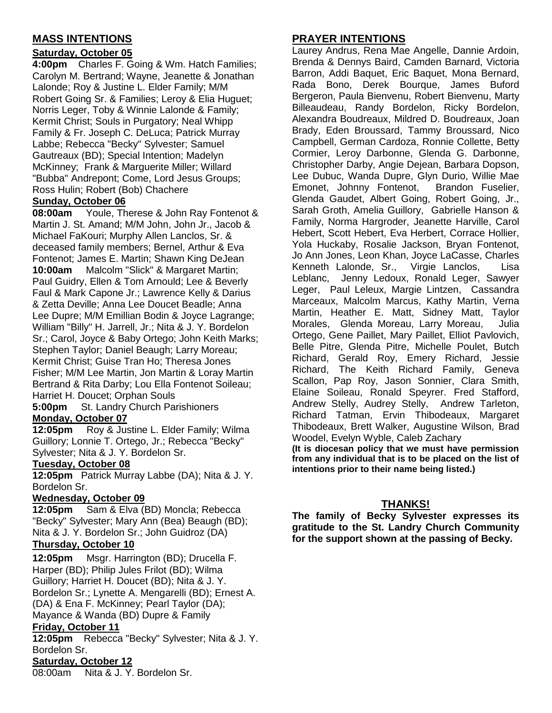# **MASS INTENTIONS**

## **Saturday, October 05**

**4:00pm** Charles F. Going & Wm. Hatch Families; Carolyn M. Bertrand; Wayne, Jeanette & Jonathan Lalonde; Roy & Justine L. Elder Family; M/M Robert Going Sr. & Families; Leroy & Elia Huguet; Norris Leger, Toby & Winnie Lalonde & Family; Kermit Christ; Souls in Purgatory; Neal Whipp Family & Fr. Joseph C. DeLuca; Patrick Murray Labbe; Rebecca "Becky" Sylvester; Samuel Gautreaux (BD); Special Intention; Madelyn McKinney; Frank & Marguerite Miller; Willard "Bubba" Andrepont; Come, Lord Jesus Groups; Ross Hulin; Robert (Bob) Chachere

### **Sunday, October 06**

**08:00am** Youle, Therese & John Ray Fontenot & Martin J. St. Amand; M/M John, John Jr., Jacob & Michael FaKouri; Murphy Allen Lanclos, Sr. & deceased family members; Bernel, Arthur & Eva Fontenot; James E. Martin; Shawn King DeJean **10:00am** Malcolm "Slick" & Margaret Martin; Paul Guidry, Ellen & Tom Arnould; Lee & Beverly Faul & Mark Capone Jr.; Lawrence Kelly & Darius & Zetta Deville; Anna Lee Doucet Beadle; Anna Lee Dupre; M/M Emillian Bodin & Joyce Lagrange; William "Billy" H. Jarrell, Jr.; Nita & J. Y. Bordelon Sr.; Carol, Joyce & Baby Ortego; John Keith Marks; Stephen Taylor; Daniel Beaugh; Larry Moreau; Kermit Christ; Guise Tran Ho; Theresa Jones Fisher; M/M Lee Martin, Jon Martin & Loray Martin Bertrand & Rita Darby; Lou Ella Fontenot Soileau; Harriet H. Doucet; Orphan Souls

**5:00pm** St. Landry Church Parishioners **Monday, October 07**

**12:05pm** Roy & Justine L. Elder Family; Wilma Guillory; Lonnie T. Ortego, Jr.; Rebecca "Becky" Sylvester; Nita & J. Y. Bordelon Sr.

### **Tuesday, October 08**

**12:05pm** Patrick Murray Labbe (DA); Nita & J. Y. Bordelon Sr.

### **Wednesday, October 09**

**12:05pm** Sam & Elva (BD) Moncla; Rebecca "Becky" Sylvester; Mary Ann (Bea) Beaugh (BD); Nita & J. Y. Bordelon Sr.; John Guidroz (DA)

# **Thursday, October 10**

**12:05pm** Msgr. Harrington (BD); Drucella F. Harper (BD); Philip Jules Frilot (BD); Wilma Guillory; Harriet H. Doucet (BD); Nita & J. Y. Bordelon Sr.; Lynette A. Mengarelli (BD); Ernest A. (DA) & Ena F. McKinney; Pearl Taylor (DA); Mayance & Wanda (BD) Dupre & Family

### **Friday, October 11**

**12:05pm** Rebecca "Becky" Sylvester; Nita & J. Y. Bordelon Sr.

### **Saturday, October 12**

08:00am Nita & J. Y. Bordelon Sr.

# **PRAYER INTENTIONS**

Laurey Andrus, Rena Mae Angelle, Dannie Ardoin, Brenda & Dennys Baird, Camden Barnard, Victoria Barron, Addi Baquet, Eric Baquet, Mona Bernard, Rada Bono, Derek Bourque, James Buford Bergeron, Paula Bienvenu, Robert Bienvenu, Marty Billeaudeau, Randy Bordelon, Ricky Bordelon, Alexandra Boudreaux, Mildred D. Boudreaux, Joan Brady, Eden Broussard, Tammy Broussard, Nico Campbell, German Cardoza, Ronnie Collette, Betty Cormier, Leroy Darbonne, Glenda G. Darbonne, Christopher Darby, Angie Dejean, Barbara Dopson, Lee Dubuc, Wanda Dupre, Glyn Durio, Willie Mae Emonet, Johnny Fontenot, Brandon Fuselier, Glenda Gaudet, Albert Going, Robert Going, Jr., Sarah Groth, Amelia Guillory, Gabrielle Hanson & Family, Norma Hargroder, Jeanette Harville, Carol Hebert, Scott Hebert, Eva Herbert, Corrace Hollier, Yola Huckaby, Rosalie Jackson, Bryan Fontenot, Jo Ann Jones, Leon Khan, Joyce LaCasse, Charles Kenneth Lalonde, Sr., Virgie Lanclos, Lisa Leblanc, Jenny Ledoux, Ronald Leger, Sawyer Leger, Paul Leleux, Margie Lintzen, Cassandra Marceaux, Malcolm Marcus, Kathy Martin, Verna Martin, Heather E. Matt, Sidney Matt, Taylor Morales, Glenda Moreau, Larry Moreau, Julia Ortego, Gene Paillet, Mary Paillet, Elliot Pavlovich, Belle Pitre, Glenda Pitre, Michelle Poulet, Butch Richard, Gerald Roy, Emery Richard, Jessie Richard, The Keith Richard Family, Geneva Scallon, Pap Roy, Jason Sonnier, Clara Smith, Elaine Soileau, Ronald Speyrer. Fred Stafford, Andrew Stelly, Audrey Stelly, Andrew Tarleton, Richard Tatman, Ervin Thibodeaux, Margaret Thibodeaux, Brett Walker, Augustine Wilson, Brad Woodel, Evelyn Wyble, Caleb Zachary **(It is diocesan policy that we must have permission from any individual that is to be placed on the list of** 

### **THANKS!**

**intentions prior to their name being listed.)**

**The family of Becky Sylvester expresses its gratitude to the St. Landry Church Community for the support shown at the passing of Becky.**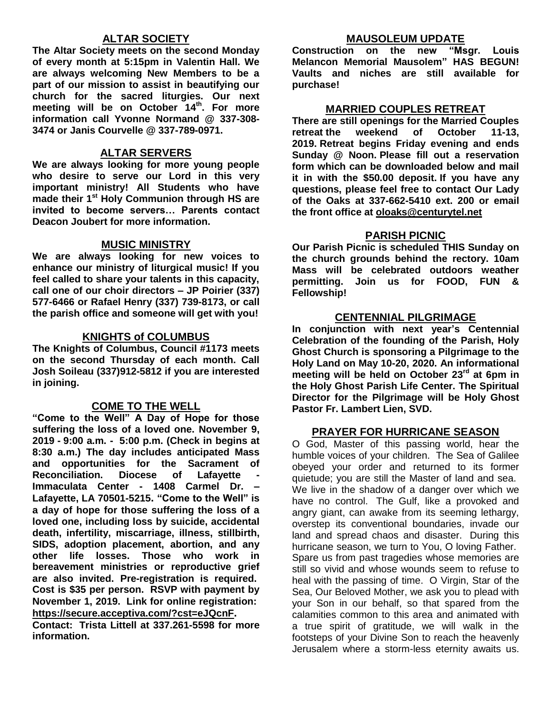## **ALTAR SOCIETY**

**The Altar Society meets on the second Monday of every month at 5:15pm in Valentin Hall. We are always welcoming New Members to be a part of our mission to assist in beautifying our church for the sacred liturgies. Our next meeting will be on October 14th . For more information call Yvonne Normand @ 337-308- 3474 or Janis Courvelle @ 337-789-0971.** 

### **ALTAR SERVERS**

**We are always looking for more young people who desire to serve our Lord in this very important ministry! All Students who have made their 1st Holy Communion through HS are invited to become servers… Parents contact Deacon Joubert for more information.**

### **MUSIC MINISTRY**

**We are always looking for new voices to enhance our ministry of liturgical music! If you feel called to share your talents in this capacity, call one of our choir directors – JP Poirier (337) 577-6466 or Rafael Henry (337) 739-8173, or call the parish office and someone will get with you!**

### **KNIGHTS of COLUMBUS**

**The Knights of Columbus, Council #1173 meets on the second Thursday of each month. Call Josh Soileau (337)912-5812 if you are interested in joining.** 

### **COME TO THE WELL**

**"Come to the Well" A Day of Hope for those suffering the loss of a loved one. November 9, 2019 - 9:00 a.m. - 5:00 p.m. (Check in begins at 8:30 a.m.) The day includes anticipated Mass and opportunities for the Sacrament of Reconciliation.** Diocese of Lafayette **Immaculata Center - 1408 Carmel Dr. – Lafayette, LA 70501-5215. "Come to the Well" is a day of hope for those suffering the loss of a loved one, including loss by suicide, accidental death, infertility, miscarriage, illness, stillbirth, SIDS, adoption placement, abortion, and any other life losses. Those who work in bereavement ministries or reproductive grief are also invited. Pre-registration is required. Cost is \$35 per person. RSVP with payment by November 1, 2019. Link for online registration: <https://secure.acceptiva.com/?cst=eJQcnF>.** 

**Contact: Trista Littell at 337.261-5598 for more information.**

### **MAUSOLEUM UPDATE**

**Construction on the new "Msgr. Louis Melancon Memorial Mausolem" HAS BEGUN! Vaults and niches are still available for purchase!**

### **MARRIED COUPLES RETREAT**

**There are still openings for the Married Couples retreat the weekend of October 11-13, 2019. Retreat begins Friday evening and ends Sunday @ Noon. Please fill out a reservation form which can be downloaded below and mail it in with the \$50.00 deposit. If you have any questions, please feel free to contact Our Lady of the Oaks at 337-662-5410 ext. 200 or email the front office at [oloaks@centurytel.net](mailto:oloaks@centurytel.net)**

### **PARISH PICNIC**

**Our Parish Picnic is scheduled THIS Sunday on the church grounds behind the rectory. 10am Mass will be celebrated outdoors weather permitting. Join us for FOOD, FUN & Fellowship!**

### **CENTENNIAL PILGRIMAGE**

**In conjunction with next year's Centennial Celebration of the founding of the Parish, Holy Ghost Church is sponsoring a Pilgrimage to the Holy Land on May 10-20, 2020. An informational meeting will be held on October 23rd at 6pm in the Holy Ghost Parish Life Center. The Spiritual Director for the Pilgrimage will be Holy Ghost Pastor Fr. Lambert Lien, SVD.**

### **PRAYER FOR HURRICANE SEASON**

O God, Master of this passing world, hear the humble voices of your children. The Sea of Galilee obeyed your order and returned to its former quietude; you are still the Master of land and sea. We live in the shadow of a danger over which we have no control. The Gulf, like a provoked and angry giant, can awake from its seeming lethargy, overstep its conventional boundaries, invade our land and spread chaos and disaster. During this hurricane season, we turn to You, O loving Father. Spare us from past tragedies whose memories are still so vivid and whose wounds seem to refuse to heal with the passing of time. O Virgin, Star of the Sea, Our Beloved Mother, we ask you to plead with your Son in our behalf, so that spared from the calamities common to this area and animated with a true spirit of gratitude, we will walk in the footsteps of your Divine Son to reach the heavenly Jerusalem where a storm-less eternity awaits us.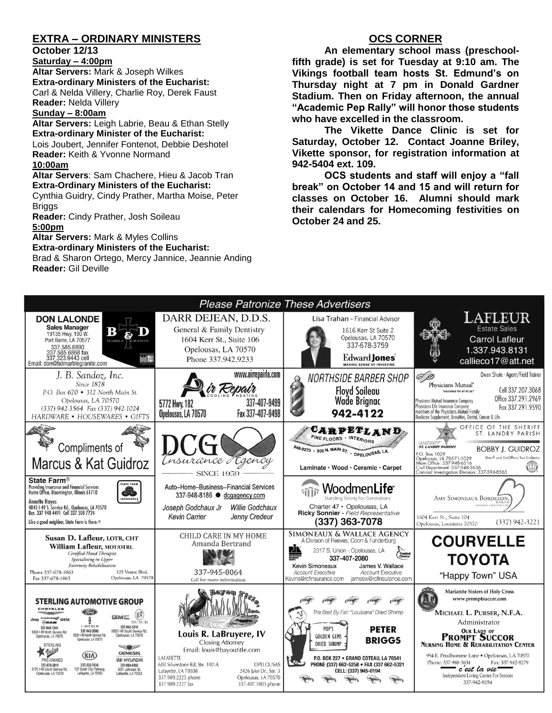## **EXTRA – ORDINARY MINISTERS**

### **October 12/13**

**Saturday – 4:00pm Altar Servers:** Mark & Joseph Wilkes **Extra-ordinary Ministers of the Eucharist:**  Carl & Nelda Villery, Charlie Roy, Derek Faust **Reader:** Nelda Villery

### **Sunday – 8:00am**

**Altar Servers:** Leigh Labrie, Beau & Ethan Stelly **Extra-ordinary Minister of the Eucharist:** Lois Joubert, Jennifer Fontenot, Debbie Deshotel **Reader:** Keith & Yvonne Normand

#### **10:00am**

**Altar Servers**: Sam Chachere, Hieu & Jacob Tran **Extra-Ordinary Ministers of the Eucharist:** Cynthia Guidry, Cindy Prather, Martha Moise, Peter **Briggs** 

**Reader:** Cindy Prather, Josh Soileau

#### **5:00pm**

**Altar Servers:** Mark & Myles Collins

#### **Extra-ordinary Ministers of the Eucharist:**

Brad & Sharon Ortego, Mercy Jannice, Jeannie Anding **Reader:** Gil Deville

## **OCS CORNER**

**An elementary school mass (preschoolfifth grade) is set for Tuesday at 9:10 am. The Vikings football team hosts St. Edmund's on Thursday night at 7 pm in Donald Gardner Stadium. Then on Friday afternoon, the annual "Academic Pep Rally" will honor those students who have excelled in the classroom.** 

**The Vikette Dance Clinic is set for Saturday, October 12. Contact Joanne Briley, Vikette sponsor, for registration information at 942-5404 ext. 109.** 

**OCS students and staff will enjoy a "fall break" on October 14 and 15 and will return for classes on October 16. Alumni should mark their calendars for Homecoming festivities on October 24 and 25.**